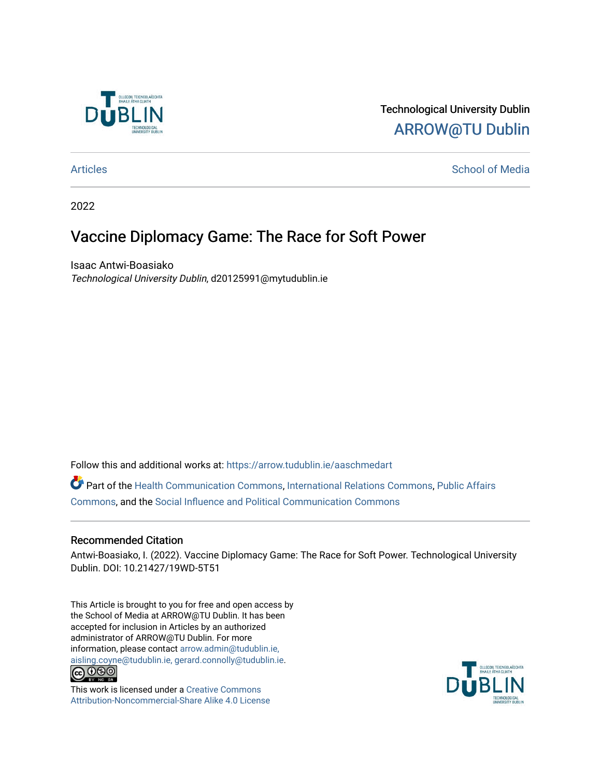

## Technological University Dublin [ARROW@TU Dublin](https://arrow.tudublin.ie/)

#### [Articles](https://arrow.tudublin.ie/aaschmedart) **School of Media**

2022

# Vaccine Diplomacy Game: The Race for Soft Power

Isaac Antwi-Boasiako Technological University Dublin, d20125991@mytudublin.ie

Follow this and additional works at: [https://arrow.tudublin.ie/aaschmedart](https://arrow.tudublin.ie/aaschmedart?utm_source=arrow.tudublin.ie%2Faaschmedart%2F103&utm_medium=PDF&utm_campaign=PDFCoverPages) 

Part of the [Health Communication Commons](http://network.bepress.com/hgg/discipline/330?utm_source=arrow.tudublin.ie%2Faaschmedart%2F103&utm_medium=PDF&utm_campaign=PDFCoverPages), [International Relations Commons,](http://network.bepress.com/hgg/discipline/389?utm_source=arrow.tudublin.ie%2Faaschmedart%2F103&utm_medium=PDF&utm_campaign=PDFCoverPages) [Public Affairs](http://network.bepress.com/hgg/discipline/399?utm_source=arrow.tudublin.ie%2Faaschmedart%2F103&utm_medium=PDF&utm_campaign=PDFCoverPages) [Commons](http://network.bepress.com/hgg/discipline/399?utm_source=arrow.tudublin.ie%2Faaschmedart%2F103&utm_medium=PDF&utm_campaign=PDFCoverPages), and the [Social Influence and Political Communication Commons](http://network.bepress.com/hgg/discipline/337?utm_source=arrow.tudublin.ie%2Faaschmedart%2F103&utm_medium=PDF&utm_campaign=PDFCoverPages) 

#### Recommended Citation

Antwi-Boasiako, I. (2022). Vaccine Diplomacy Game: The Race for Soft Power. Technological University Dublin. DOI: 10.21427/19WD-5T51

This Article is brought to you for free and open access by the School of Media at ARROW@TU Dublin. It has been accepted for inclusion in Articles by an authorized administrator of ARROW@TU Dublin. For more information, please contact [arrow.admin@tudublin.ie,](mailto:arrow.admin@tudublin.ie,%20aisling.coyne@tudublin.ie,%20gerard.connolly@tudublin.ie)  [aisling.coyne@tudublin.ie, gerard.connolly@tudublin.ie](mailto:arrow.admin@tudublin.ie,%20aisling.coyne@tudublin.ie,%20gerard.connolly@tudublin.ie).<br>
co 000



This work is licensed under a [Creative Commons](http://creativecommons.org/licenses/by-nc-sa/4.0/) [Attribution-Noncommercial-Share Alike 4.0 License](http://creativecommons.org/licenses/by-nc-sa/4.0/)

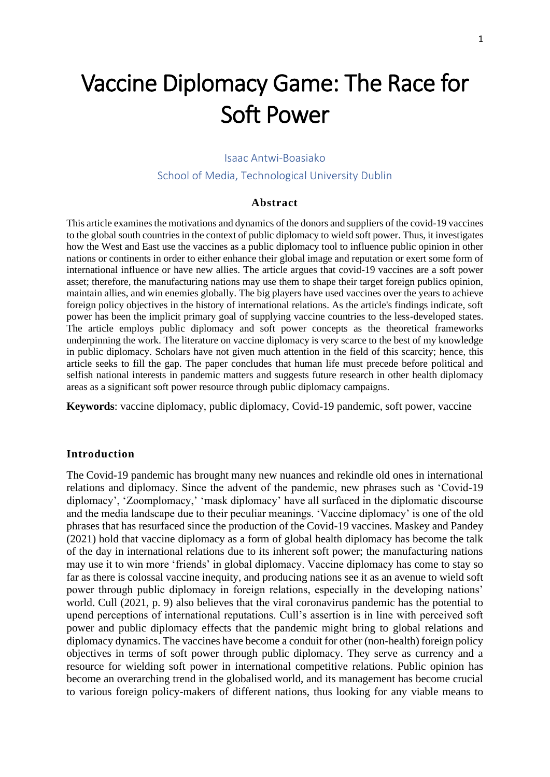# Vaccine Diplomacy Game: The Race for Soft Power

#### Isaac Antwi-Boasiako

School of Media, Technological University Dublin

#### **Abstract**

This article examines the motivations and dynamics of the donors and suppliers of the covid-19 vaccines to the global south countries in the context of public diplomacy to wield soft power. Thus, it investigates how the West and East use the vaccines as a public diplomacy tool to influence public opinion in other nations or continents in order to either enhance their global image and reputation or exert some form of international influence or have new allies. The article argues that covid-19 vaccines are a soft power asset; therefore, the manufacturing nations may use them to shape their target foreign publics opinion, maintain allies, and win enemies globally. The big players have used vaccines over the years to achieve foreign policy objectives in the history of international relations. As the article's findings indicate, soft power has been the implicit primary goal of supplying vaccine countries to the less-developed states. The article employs public diplomacy and soft power concepts as the theoretical frameworks underpinning the work. The literature on vaccine diplomacy is very scarce to the best of my knowledge in public diplomacy. Scholars have not given much attention in the field of this scarcity; hence, this article seeks to fill the gap. The paper concludes that human life must precede before political and selfish national interests in pandemic matters and suggests future research in other health diplomacy areas as a significant soft power resource through public diplomacy campaigns.

**Keywords**: vaccine diplomacy, public diplomacy, Covid-19 pandemic, soft power, vaccine

#### **Introduction**

The Covid-19 pandemic has brought many new nuances and rekindle old ones in international relations and diplomacy. Since the advent of the pandemic, new phrases such as 'Covid-19 diplomacy', 'Zoomplomacy,' 'mask diplomacy' have all surfaced in the diplomatic discourse and the media landscape due to their peculiar meanings. 'Vaccine diplomacy' is one of the old phrases that has resurfaced since the production of the Covid-19 vaccines. Maskey and Pandey (2021) hold that vaccine diplomacy as a form of global health diplomacy has become the talk of the day in international relations due to its inherent soft power; the manufacturing nations may use it to win more 'friends' in global diplomacy. Vaccine diplomacy has come to stay so far as there is colossal vaccine inequity, and producing nations see it as an avenue to wield soft power through public diplomacy in foreign relations, especially in the developing nations' world. Cull (2021, p. 9) also believes that the viral coronavirus pandemic has the potential to upend perceptions of international reputations. Cull's assertion is in line with perceived soft power and public diplomacy effects that the pandemic might bring to global relations and diplomacy dynamics. The vaccines have become a conduit for other (non-health) foreign policy objectives in terms of soft power through public diplomacy. They serve as currency and a resource for wielding soft power in international competitive relations. Public opinion has become an overarching trend in the globalised world, and its management has become crucial to various foreign policy-makers of different nations, thus looking for any viable means to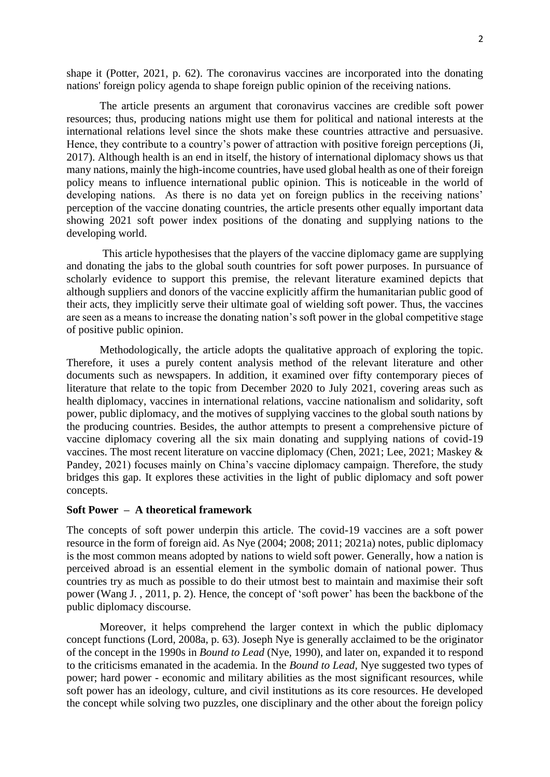shape it (Potter, 2021, p. 62). The coronavirus vaccines are incorporated into the donating nations' foreign policy agenda to shape foreign public opinion of the receiving nations.

The article presents an argument that coronavirus vaccines are credible soft power resources; thus, producing nations might use them for political and national interests at the international relations level since the shots make these countries attractive and persuasive. Hence, they contribute to a country's power of attraction with positive foreign perceptions (Ji, 2017). Although health is an end in itself, the history of international diplomacy shows us that many nations, mainly the high-income countries, have used global health as one of their foreign policy means to influence international public opinion. This is noticeable in the world of developing nations. As there is no data yet on foreign publics in the receiving nations' perception of the vaccine donating countries, the article presents other equally important data showing 2021 soft power index positions of the donating and supplying nations to the developing world.

This article hypothesises that the players of the vaccine diplomacy game are supplying and donating the jabs to the global south countries for soft power purposes. In pursuance of scholarly evidence to support this premise, the relevant literature examined depicts that although suppliers and donors of the vaccine explicitly affirm the humanitarian public good of their acts, they implicitly serve their ultimate goal of wielding soft power. Thus, the vaccines are seen as a means to increase the donating nation's soft power in the global competitive stage of positive public opinion.

Methodologically, the article adopts the qualitative approach of exploring the topic. Therefore, it uses a purely content analysis method of the relevant literature and other documents such as newspapers. In addition, it examined over fifty contemporary pieces of literature that relate to the topic from December 2020 to July 2021, covering areas such as health diplomacy, vaccines in international relations, vaccine nationalism and solidarity, soft power, public diplomacy, and the motives of supplying vaccines to the global south nations by the producing countries. Besides, the author attempts to present a comprehensive picture of vaccine diplomacy covering all the six main donating and supplying nations of covid-19 vaccines. The most recent literature on vaccine diplomacy (Chen, 2021; Lee, 2021; Maskey & Pandey, 2021) focuses mainly on China's vaccine diplomacy campaign. Therefore, the study bridges this gap. It explores these activities in the light of public diplomacy and soft power concepts.

#### **Soft Power – A theoretical framework**

The concepts of soft power underpin this article. The covid-19 vaccines are a soft power resource in the form of foreign aid. As Nye (2004; 2008; 2011; 2021a) notes, public diplomacy is the most common means adopted by nations to wield soft power. Generally, how a nation is perceived abroad is an essential element in the symbolic domain of national power. Thus countries try as much as possible to do their utmost best to maintain and maximise their soft power (Wang J. , 2011, p. 2). Hence, the concept of 'soft power' has been the backbone of the public diplomacy discourse.

Moreover, it helps comprehend the larger context in which the public diplomacy concept functions (Lord, 2008a, p. 63). Joseph Nye is generally acclaimed to be the originator of the concept in the 1990s in *Bound to Lead* (Nye, 1990), and later on, expanded it to respond to the criticisms emanated in the academia. In the *Bound to Lead,* Nye suggested two types of power; hard power - economic and military abilities as the most significant resources, while soft power has an ideology, culture, and civil institutions as its core resources. He developed the concept while solving two puzzles, one disciplinary and the other about the foreign policy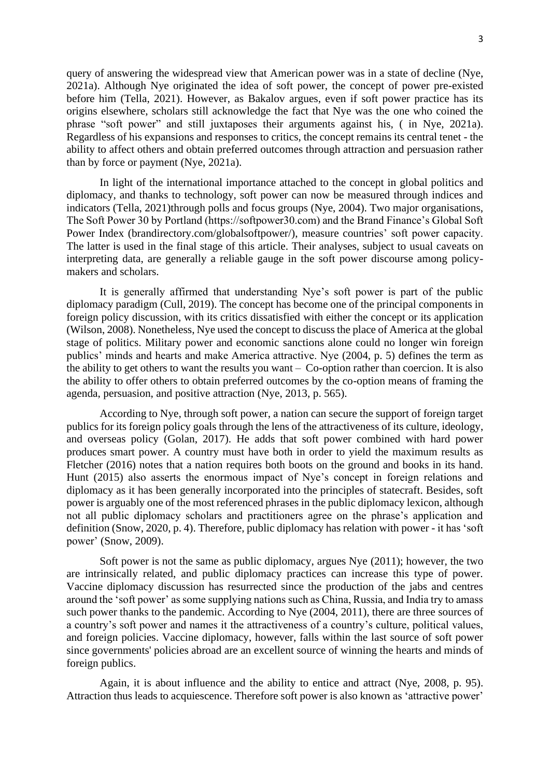query of answering the widespread view that American power was in a state of decline (Nye, 2021a). Although Nye originated the idea of soft power, the concept of power pre-existed before him (Tella, 2021). However, as Bakalov argues, even if soft power practice has its origins elsewhere, scholars still acknowledge the fact that Nye was the one who coined the phrase "soft power" and still juxtaposes their arguments against his, ( in Nye, 2021a). Regardless of his expansions and responses to critics, the concept remains its central tenet - the ability to affect others and obtain preferred outcomes through attraction and persuasion rather than by force or payment (Nye, 2021a).

In light of the international importance attached to the concept in global politics and diplomacy, and thanks to technology, soft power can now be measured through indices and indicators (Tella, 2021)through polls and focus groups (Nye, 2004). Two major organisations, The Soft Power 30 by Portland (https://softpower30.com) and the Brand Finance's Global Soft Power Index (brandirectory.com/globalsoftpower/), measure countries' soft power capacity. The latter is used in the final stage of this article. Their analyses, subject to usual caveats on interpreting data, are generally a reliable gauge in the soft power discourse among policymakers and scholars.

It is generally affirmed that understanding Nye's soft power is part of the public diplomacy paradigm (Cull, 2019). The concept has become one of the principal components in foreign policy discussion, with its critics dissatisfied with either the concept or its application (Wilson, 2008). Nonetheless, Nye used the concept to discuss the place of America at the global stage of politics. Military power and economic sanctions alone could no longer win foreign publics' minds and hearts and make America attractive. Nye (2004, p. 5) defines the term as the ability to get others to want the results you want – Co-option rather than coercion. It is also the ability to offer others to obtain preferred outcomes by the co-option means of framing the agenda, persuasion, and positive attraction (Nye, 2013, p. 565).

According to Nye, through soft power, a nation can secure the support of foreign target publics for its foreign policy goals through the lens of the attractiveness of its culture, ideology, and overseas policy (Golan, 2017). He adds that soft power combined with hard power produces smart power. A country must have both in order to yield the maximum results as Fletcher (2016) notes that a nation requires both boots on the ground and books in its hand. Hunt (2015) also asserts the enormous impact of Nye's concept in foreign relations and diplomacy as it has been generally incorporated into the principles of statecraft. Besides, soft power is arguably one of the most referenced phrases in the public diplomacy lexicon, although not all public diplomacy scholars and practitioners agree on the phrase's application and definition (Snow, 2020, p. 4). Therefore, public diplomacy has relation with power - it has 'soft power' (Snow, 2009).

Soft power is not the same as public diplomacy, argues Nye (2011); however, the two are intrinsically related, and public diplomacy practices can increase this type of power. Vaccine diplomacy discussion has resurrected since the production of the jabs and centres around the 'soft power' as some supplying nations such as China, Russia, and India try to amass such power thanks to the pandemic. According to Nye (2004, 2011), there are three sources of a country's soft power and names it the attractiveness of a country's culture, political values, and foreign policies. Vaccine diplomacy, however, falls within the last source of soft power since governments' policies abroad are an excellent source of winning the hearts and minds of foreign publics.

Again, it is about influence and the ability to entice and attract (Nye, 2008, p. 95). Attraction thus leads to acquiescence. Therefore soft power is also known as 'attractive power'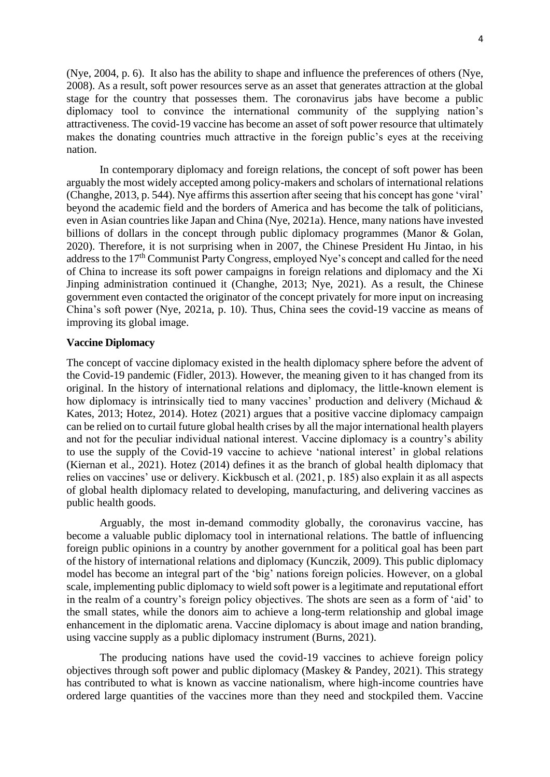(Nye, 2004, p. 6). It also has the ability to shape and influence the preferences of others (Nye, 2008). As a result, soft power resources serve as an asset that generates attraction at the global stage for the country that possesses them. The coronavirus jabs have become a public diplomacy tool to convince the international community of the supplying nation's attractiveness. The covid-19 vaccine has become an asset of soft power resource that ultimately makes the donating countries much attractive in the foreign public's eyes at the receiving nation.

In contemporary diplomacy and foreign relations, the concept of soft power has been arguably the most widely accepted among policy-makers and scholars of international relations (Changhe, 2013, p. 544). Nye affirms this assertion after seeing that his concept has gone 'viral' beyond the academic field and the borders of America and has become the talk of politicians, even in Asian countries like Japan and China (Nye, 2021a). Hence, many nations have invested billions of dollars in the concept through public diplomacy programmes (Manor & Golan, 2020). Therefore, it is not surprising when in 2007, the Chinese President Hu Jintao, in his address to the 17<sup>th</sup> Communist Party Congress, employed Nye's concept and called for the need of China to increase its soft power campaigns in foreign relations and diplomacy and the Xi Jinping administration continued it (Changhe, 2013; Nye, 2021). As a result, the Chinese government even contacted the originator of the concept privately for more input on increasing China's soft power (Nye, 2021a, p. 10). Thus, China sees the covid-19 vaccine as means of improving its global image.

#### **Vaccine Diplomacy**

The concept of vaccine diplomacy existed in the health diplomacy sphere before the advent of the Covid-19 pandemic (Fidler, 2013). However, the meaning given to it has changed from its original. In the history of international relations and diplomacy, the little-known element is how diplomacy is intrinsically tied to many vaccines' production and delivery (Michaud & Kates, 2013; Hotez, 2014). Hotez (2021) argues that a positive vaccine diplomacy campaign can be relied on to curtail future global health crises by all the major international health players and not for the peculiar individual national interest. Vaccine diplomacy is a country's ability to use the supply of the Covid-19 vaccine to achieve 'national interest' in global relations (Kiernan et al., 2021). Hotez (2014) defines it as the branch of global health diplomacy that relies on vaccines' use or delivery. Kickbusch et al. (2021, p. 185) also explain it as all aspects of global health diplomacy related to developing, manufacturing, and delivering vaccines as public health goods.

Arguably, the most in-demand commodity globally, the coronavirus vaccine, has become a valuable public diplomacy tool in international relations. The battle of influencing foreign public opinions in a country by another government for a political goal has been part of the history of international relations and diplomacy (Kunczik, 2009). This public diplomacy model has become an integral part of the 'big' nations foreign policies. However, on a global scale, implementing public diplomacy to wield soft power is a legitimate and reputational effort in the realm of a country's foreign policy objectives. The shots are seen as a form of 'aid' to the small states, while the donors aim to achieve a long-term relationship and global image enhancement in the diplomatic arena. Vaccine diplomacy is about image and nation branding, using vaccine supply as a public diplomacy instrument (Burns, 2021).

The producing nations have used the covid-19 vaccines to achieve foreign policy objectives through soft power and public diplomacy (Maskey & Pandey, 2021). This strategy has contributed to what is known as vaccine nationalism, where high-income countries have ordered large quantities of the vaccines more than they need and stockpiled them. Vaccine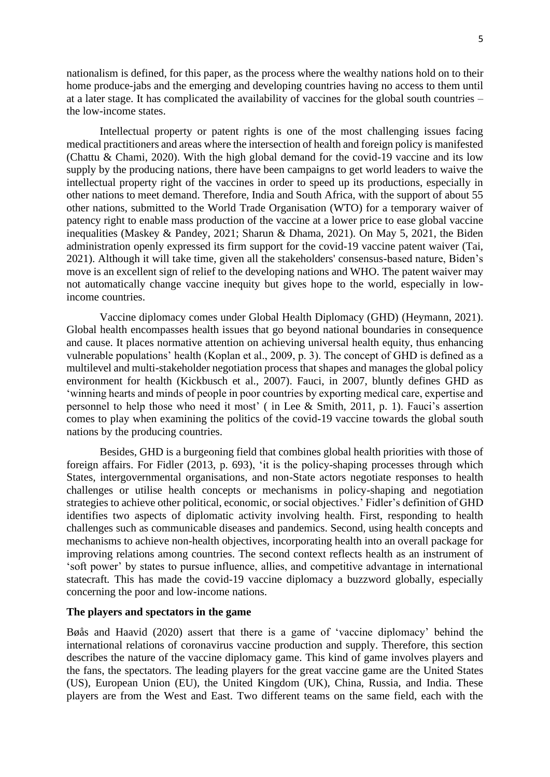nationalism is defined, for this paper, as the process where the wealthy nations hold on to their home produce-jabs and the emerging and developing countries having no access to them until at a later stage. It has complicated the availability of vaccines for the global south countries – the low-income states.

Intellectual property or patent rights is one of the most challenging issues facing medical practitioners and areas where the intersection of health and foreign policy is manifested (Chattu & Chami, 2020). With the high global demand for the covid-19 vaccine and its low supply by the producing nations, there have been campaigns to get world leaders to waive the intellectual property right of the vaccines in order to speed up its productions, especially in other nations to meet demand. Therefore, India and South Africa, with the support of about 55 other nations, submitted to the World Trade Organisation (WTO) for a temporary waiver of patency right to enable mass production of the vaccine at a lower price to ease global vaccine inequalities (Maskey & Pandey, 2021; Sharun & Dhama, 2021). On May 5, 2021, the Biden administration openly expressed its firm support for the covid-19 vaccine patent waiver (Tai, 2021). Although it will take time, given all the stakeholders' consensus-based nature, Biden's move is an excellent sign of relief to the developing nations and WHO. The patent waiver may not automatically change vaccine inequity but gives hope to the world, especially in lowincome countries.

Vaccine diplomacy comes under Global Health Diplomacy (GHD) (Heymann, 2021). Global health encompasses health issues that go beyond national boundaries in consequence and cause. It places normative attention on achieving universal health equity, thus enhancing vulnerable populations' health (Koplan et al., 2009, p. 3). The concept of GHD is defined as a multilevel and multi-stakeholder negotiation process that shapes and manages the global policy environment for health (Kickbusch et al., 2007). Fauci, in 2007, bluntly defines GHD as 'winning hearts and minds of people in poor countries by exporting medical care, expertise and personnel to help those who need it most' ( in Lee & Smith, 2011, p. 1). Fauci's assertion comes to play when examining the politics of the covid-19 vaccine towards the global south nations by the producing countries.

Besides, GHD is a burgeoning field that combines global health priorities with those of foreign affairs. For Fidler (2013, p. 693), 'it is the policy-shaping processes through which States, intergovernmental organisations, and non-State actors negotiate responses to health challenges or utilise health concepts or mechanisms in policy-shaping and negotiation strategies to achieve other political, economic, or social objectives.' Fidler's definition of GHD identifies two aspects of diplomatic activity involving health. First, responding to health challenges such as communicable diseases and pandemics. Second, using health concepts and mechanisms to achieve non-health objectives, incorporating health into an overall package for improving relations among countries. The second context reflects health as an instrument of 'soft power' by states to pursue influence, allies, and competitive advantage in international statecraft*.* This has made the covid-19 vaccine diplomacy a buzzword globally, especially concerning the poor and low-income nations.

#### **The players and spectators in the game**

Bøås and Haavid (2020) assert that there is a game of 'vaccine diplomacy' behind the international relations of coronavirus vaccine production and supply. Therefore, this section describes the nature of the vaccine diplomacy game. This kind of game involves players and the fans, the spectators. The leading players for the great vaccine game are the United States (US), European Union (EU), the United Kingdom (UK), China, Russia, and India. These players are from the West and East. Two different teams on the same field, each with the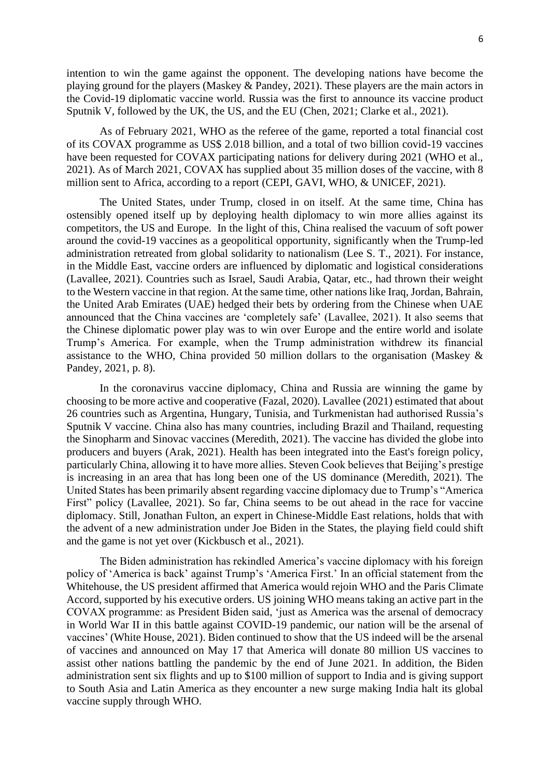intention to win the game against the opponent. The developing nations have become the playing ground for the players (Maskey & Pandey, 2021). These players are the main actors in the Covid-19 diplomatic vaccine world. Russia was the first to announce its vaccine product Sputnik V, followed by the UK, the US, and the EU (Chen, 2021; Clarke et al., 2021).

As of February 2021, WHO as the referee of the game, reported a total financial cost of its COVAX programme as US\$ 2.018 billion, and a total of two billion covid-19 vaccines have been requested for COVAX participating nations for delivery during 2021 (WHO et al., 2021). As of March 2021, COVAX has supplied about 35 million doses of the vaccine, with 8 million sent to Africa, according to a report (CEPI, GAVI, WHO, & UNICEF, 2021).

The United States, under Trump, closed in on itself. At the same time, China has ostensibly opened itself up by deploying health diplomacy to win more allies against its competitors, the US and Europe. In the light of this, China realised the vacuum of soft power around the covid-19 vaccines as a geopolitical opportunity, significantly when the Trump-led administration retreated from global solidarity to nationalism (Lee S. T., 2021). For instance, in the Middle East, vaccine orders are influenced by diplomatic and logistical considerations (Lavallee, 2021). Countries such as Israel, Saudi Arabia, Qatar, etc., had thrown their weight to the Western vaccine in that region. At the same time, other nations like Iraq, Jordan, Bahrain, the United Arab Emirates (UAE) hedged their bets by ordering from the Chinese when UAE announced that the China vaccines are 'completely safe' (Lavallee, 2021). It also seems that the Chinese diplomatic power play was to win over Europe and the entire world and isolate Trump's America. For example, when the Trump administration withdrew its financial assistance to the WHO, China provided 50 million dollars to the organisation (Maskey & Pandey, 2021, p. 8).

In the coronavirus vaccine diplomacy, China and Russia are winning the game by choosing to be more active and cooperative (Fazal, 2020). Lavallee (2021) estimated that about 26 countries such as Argentina, Hungary, Tunisia, and Turkmenistan had authorised Russia's Sputnik V vaccine. China also has many countries, including Brazil and Thailand, requesting the Sinopharm and Sinovac vaccines (Meredith, 2021). The vaccine has divided the globe into producers and buyers (Arak, 2021). Health has been integrated into the East's foreign policy, particularly China, allowing it to have more allies. Steven Cook believes that Beijing's prestige is increasing in an area that has long been one of the US dominance (Meredith, 2021). The United States has been primarily absent regarding vaccine diplomacy due to Trump's "America First" policy (Lavallee, 2021). So far, China seems to be out ahead in the race for vaccine diplomacy. Still, Jonathan Fulton, an expert in Chinese-Middle East relations, holds that with the advent of a new administration under Joe Biden in the States, the playing field could shift and the game is not yet over (Kickbusch et al., 2021).

The Biden administration has rekindled America's vaccine diplomacy with his foreign policy of 'America is back' against Trump's 'America First.' In an official statement from the Whitehouse, the US president affirmed that America would rejoin WHO and the Paris Climate Accord, supported by his executive orders. US joining WHO means taking an active part in the COVAX programme: as President Biden said, 'just as America was the arsenal of democracy in World War II in this battle against COVID-19 pandemic, our nation will be the arsenal of vaccines' (White House, 2021). Biden continued to show that the US indeed will be the arsenal of vaccines and announced on May 17 that America will donate 80 million US vaccines to assist other nations battling the pandemic by the end of June 2021. In addition, the Biden administration sent six flights and up to \$100 million of support to India and is giving support to South Asia and Latin America as they encounter a new surge making India halt its global vaccine supply through WHO.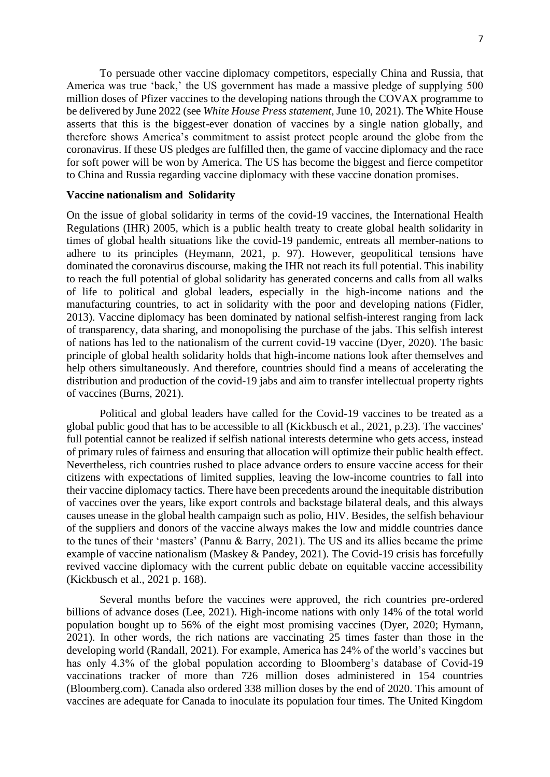To persuade other vaccine diplomacy competitors, especially China and Russia, that America was true 'back,' the US government has made a massive pledge of supplying 500 million doses of Pfizer vaccines to the developing nations through the COVAX programme to be delivered by June 2022 (see *White House Press statement*, June 10, 2021). The White House asserts that this is the biggest-ever donation of vaccines by a single nation globally, and therefore shows America's commitment to assist protect people around the globe from the coronavirus. If these US pledges are fulfilled then, the game of vaccine diplomacy and the race for soft power will be won by America. The US has become the biggest and fierce competitor to China and Russia regarding vaccine diplomacy with these vaccine donation promises.

#### **Vaccine nationalism and Solidarity**

On the issue of global solidarity in terms of the covid-19 vaccines, the International Health Regulations (IHR) 2005, which is a public health treaty to create global health solidarity in times of global health situations like the covid-19 pandemic, entreats all member-nations to adhere to its principles (Heymann, 2021, p. 97). However, geopolitical tensions have dominated the coronavirus discourse, making the IHR not reach its full potential. This inability to reach the full potential of global solidarity has generated concerns and calls from all walks of life to political and global leaders, especially in the high-income nations and the manufacturing countries, to act in solidarity with the poor and developing nations (Fidler, 2013). Vaccine diplomacy has been dominated by national selfish-interest ranging from lack of transparency, data sharing, and monopolising the purchase of the jabs. This selfish interest of nations has led to the nationalism of the current covid-19 vaccine (Dyer, 2020). The basic principle of global health solidarity holds that high-income nations look after themselves and help others simultaneously. And therefore, countries should find a means of accelerating the distribution and production of the covid-19 jabs and aim to transfer intellectual property rights of vaccines (Burns, 2021).

Political and global leaders have called for the Covid-19 vaccines to be treated as a global public good that has to be accessible to all (Kickbusch et al., 2021, p.23). The vaccines' full potential cannot be realized if selfish national interests determine who gets access, instead of primary rules of fairness and ensuring that allocation will optimize their public health effect. Nevertheless, rich countries rushed to place advance orders to ensure vaccine access for their citizens with expectations of limited supplies, leaving the low-income countries to fall into their vaccine diplomacy tactics. There have been precedents around the inequitable distribution of vaccines over the years, like export controls and backstage bilateral deals, and this always causes unease in the global health campaign such as polio, HIV. Besides, the selfish behaviour of the suppliers and donors of the vaccine always makes the low and middle countries dance to the tunes of their 'masters' (Pannu & Barry, 2021). The US and its allies became the prime example of vaccine nationalism (Maskey & Pandey, 2021). The Covid-19 crisis has forcefully revived vaccine diplomacy with the current public debate on equitable vaccine accessibility (Kickbusch et al., 2021 p. 168).

Several months before the vaccines were approved, the rich countries pre-ordered billions of advance doses (Lee, 2021). High-income nations with only 14% of the total world population bought up to 56% of the eight most promising vaccines (Dyer, 2020; Hymann, 2021). In other words, the rich nations are vaccinating 25 times faster than those in the developing world (Randall, 2021). For example, America has 24% of the world's vaccines but has only 4.3% of the global population according to Bloomberg's database of Covid-19 vaccinations tracker of more than 726 million doses administered in 154 countries (Bloomberg.com). Canada also ordered 338 million doses by the end of 2020. This amount of vaccines are adequate for Canada to inoculate its population four times. The United Kingdom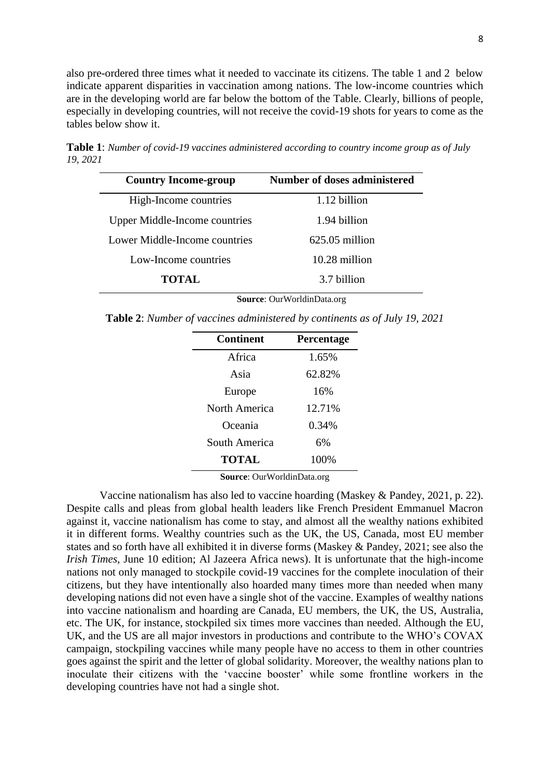also pre-ordered three times what it needed to vaccinate its citizens. The table 1 and 2 below indicate apparent disparities in vaccination among nations. The low-income countries which are in the developing world are far below the bottom of the Table. Clearly, billions of people, especially in developing countries, will not receive the covid-19 shots for years to come as the tables below show it.

**Table 1**: *Number of covid-19 vaccines administered according to country income group as of July 19, 2021*

| <b>Country Income-group</b>          | <b>Number of doses administered</b> |
|--------------------------------------|-------------------------------------|
| High-Income countries                | 1.12 billion                        |
| <b>Upper Middle-Income countries</b> | 1.94 billion                        |
| Lower Middle-Income countries        | $625.05$ million                    |
| Low-Income countries                 | $10.28$ million                     |
| <b>TOTAL</b>                         | 3.7 billion                         |

**Source**: OurWorldinData.org

**Table 2**: *Number of vaccines administered by continents as of July 19, 2021*

| <b>Continent</b> | <b>Percentage</b> |  |
|------------------|-------------------|--|
| Africa           | 1.65%             |  |
| Asia             | 62.82%            |  |
| Europe           | 16%               |  |
| North America    | 12.71%            |  |
| Oceania          | 0.34%             |  |
| South America    | 6%                |  |
| <b>TOTAL</b>     | 100%              |  |

**Source**: OurWorldinData.org

Vaccine nationalism has also led to vaccine hoarding (Maskey & Pandey, 2021, p. 22). Despite calls and pleas from global health leaders like French President Emmanuel Macron against it, vaccine nationalism has come to stay, and almost all the wealthy nations exhibited it in different forms. Wealthy countries such as the UK, the US, Canada, most EU member states and so forth have all exhibited it in diverse forms (Maskey & Pandey, 2021; see also the *Irish Times*, June 10 edition; Al Jazeera Africa news). It is unfortunate that the high-income nations not only managed to stockpile covid-19 vaccines for the complete inoculation of their citizens, but they have intentionally also hoarded many times more than needed when many developing nations did not even have a single shot of the vaccine. Examples of wealthy nations into vaccine nationalism and hoarding are Canada, EU members, the UK, the US, Australia, etc. The UK, for instance, stockpiled six times more vaccines than needed. Although the EU, UK, and the US are all major investors in productions and contribute to the WHO's COVAX campaign, stockpiling vaccines while many people have no access to them in other countries goes against the spirit and the letter of global solidarity. Moreover, the wealthy nations plan to inoculate their citizens with the 'vaccine booster' while some frontline workers in the developing countries have not had a single shot.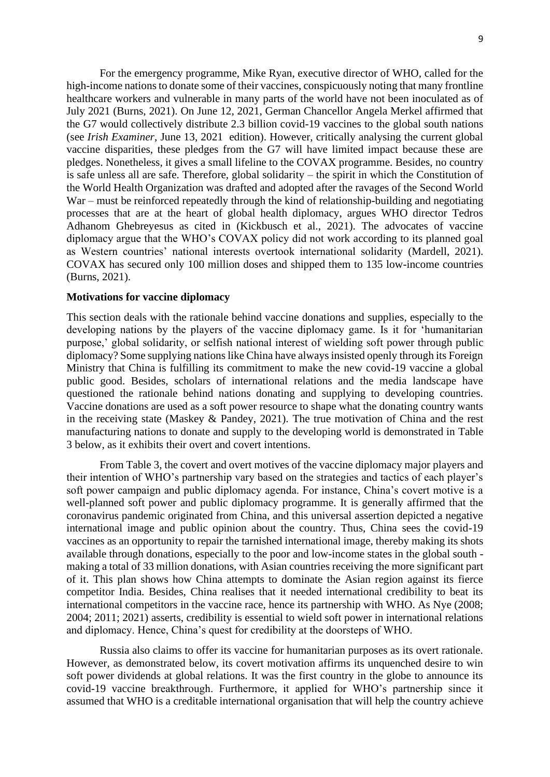For the emergency programme, Mike Ryan, executive director of WHO, called for the high-income nations to donate some of their vaccines, conspicuously noting that many frontline healthcare workers and vulnerable in many parts of the world have not been inoculated as of July 2021 (Burns, 2021). On June 12, 2021, German Chancellor Angela Merkel affirmed that the G7 would collectively distribute 2.3 billion covid-19 vaccines to the global south nations (see *Irish Examiner*, June 13, 2021 edition). However, critically analysing the current global vaccine disparities, these pledges from the G7 will have limited impact because these are pledges. Nonetheless, it gives a small lifeline to the COVAX programme. Besides, no country is safe unless all are safe. Therefore, global solidarity – the spirit in which the Constitution of the World Health Organization was drafted and adopted after the ravages of the Second World War – must be reinforced repeatedly through the kind of relationship-building and negotiating processes that are at the heart of global health diplomacy, argues WHO director Tedros Adhanom Ghebreyesus as cited in (Kickbusch et al., 2021). The advocates of vaccine diplomacy argue that the WHO's COVAX policy did not work according to its planned goal as Western countries' national interests overtook international solidarity (Mardell, 2021). COVAX has secured only 100 million doses and shipped them to 135 low-income countries (Burns, 2021).

#### **Motivations for vaccine diplomacy**

This section deals with the rationale behind vaccine donations and supplies, especially to the developing nations by the players of the vaccine diplomacy game. Is it for 'humanitarian purpose,' global solidarity, or selfish national interest of wielding soft power through public diplomacy? Some supplying nations like China have always insisted openly through its Foreign Ministry that China is fulfilling its commitment to make the new covid-19 vaccine a global public good. Besides, scholars of international relations and the media landscape have questioned the rationale behind nations donating and supplying to developing countries. Vaccine donations are used as a soft power resource to shape what the donating country wants in the receiving state (Maskey & Pandey, 2021). The true motivation of China and the rest manufacturing nations to donate and supply to the developing world is demonstrated in Table 3 below, as it exhibits their overt and covert intentions.

From Table 3, the covert and overt motives of the vaccine diplomacy major players and their intention of WHO's partnership vary based on the strategies and tactics of each player's soft power campaign and public diplomacy agenda. For instance, China's covert motive is a well-planned soft power and public diplomacy programme. It is generally affirmed that the coronavirus pandemic originated from China, and this universal assertion depicted a negative international image and public opinion about the country. Thus, China sees the covid-19 vaccines as an opportunity to repair the tarnished international image, thereby making its shots available through donations, especially to the poor and low-income states in the global south making a total of 33 million donations, with Asian countries receiving the more significant part of it. This plan shows how China attempts to dominate the Asian region against its fierce competitor India. Besides, China realises that it needed international credibility to beat its international competitors in the vaccine race, hence its partnership with WHO. As Nye (2008; 2004; 2011; 2021) asserts, credibility is essential to wield soft power in international relations and diplomacy. Hence, China's quest for credibility at the doorsteps of WHO.

Russia also claims to offer its vaccine for humanitarian purposes as its overt rationale. However, as demonstrated below, its covert motivation affirms its unquenched desire to win soft power dividends at global relations. It was the first country in the globe to announce its covid-19 vaccine breakthrough. Furthermore, it applied for WHO's partnership since it assumed that WHO is a creditable international organisation that will help the country achieve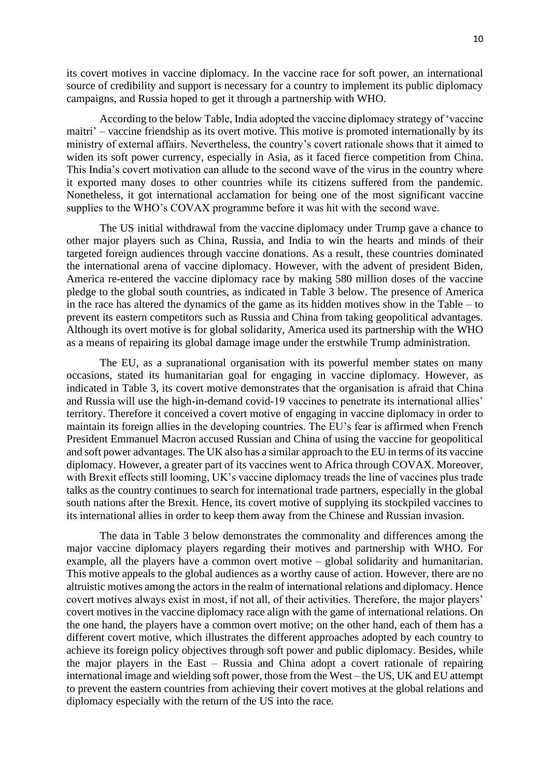its covert motives in vaccine diplomacy. In the vaccine race for soft power, an international source of credibility and support is necessary for a country to implement its public diplomacy campaigns, and Russia hoped to get it through a partnership with WHO.

According to the below Table, India adopted the vaccine diplomacy strategy of 'vaccine maitri' – vaccine friendship as its overt motive. This motive is promoted internationally by its ministry of external affairs. Nevertheless, the country's covert rationale shows that it aimed to widen its soft power currency, especially in Asia, as it faced fierce competition from China. This India's covert motivation can allude to the second wave of the virus in the country where it exported many doses to other countries while its citizens suffered from the pandemic. Nonetheless, it got international acclamation for being one of the most significant vaccine supplies to the WHO's COVAX programme before it was hit with the second wave.

The US initial withdrawal from the vaccine diplomacy under Trump gave a chance to other major players such as China, Russia, and India to win the hearts and minds of their targeted foreign audiences through vaccine donations. As a result, these countries dominated the international arena of vaccine diplomacy. However, with the advent of president Biden, America re-entered the vaccine diplomacy race by making 580 million doses of the vaccine pledge to the global south countries, as indicated in Table 3 below. The presence of America in the race has altered the dynamics of the game as its hidden motives show in the Table – to prevent its eastern competitors such as Russia and China from taking geopolitical advantages. Although its overt motive is for global solidarity, America used its partnership with the WHO as a means of repairing its global damage image under the erstwhile Trump administration.

The EU, as a supranational organisation with its powerful member states on many occasions, stated its humanitarian goal for engaging in vaccine diplomacy. However, as indicated in Table 3, its covert motive demonstrates that the organisation is afraid that China and Russia will use the high-in-demand covid-19 vaccines to penetrate its international allies' territory. Therefore it conceived a covert motive of engaging in vaccine diplomacy in order to maintain its foreign allies in the developing countries. The EU's fear is affirmed when French President Emmanuel Macron accused Russian and China of using the vaccine for geopolitical and soft power advantages. The UK also has a similar approach to the EU in terms of its vaccine diplomacy. However, a greater part of its vaccines went to Africa through COVAX. Moreover, with Brexit effects still looming, UK's vaccine diplomacy treads the line of vaccines plus trade talks as the country continues to search for international trade partners, especially in the global south nations after the Brexit. Hence, its covert motive of supplying its stockpiled vaccines to its international allies in order to keep them away from the Chinese and Russian invasion.

The data in Table 3 below demonstrates the commonality and differences among the major vaccine diplomacy players regarding their motives and partnership with WHO. For example, all the players have a common overt motive – global solidarity and humanitarian. This motive appeals to the global audiences as a worthy cause of action. However, there are no altruistic motives among the actors in the realm of international relations and diplomacy. Hence covert motives always exist in most, if not all, of their activities. Therefore, the major players' covert motives in the vaccine diplomacy race align with the game of international relations. On the one hand, the players have a common overt motive; on the other hand, each of them has a different covert motive, which illustrates the different approaches adopted by each country to achieve its foreign policy objectives through soft power and public diplomacy. Besides, while the major players in the East – Russia and China adopt a covert rationale of repairing international image and wielding soft power, those from the West – the US, UK and EU attempt to prevent the eastern countries from achieving their covert motives at the global relations and diplomacy especially with the return of the US into the race.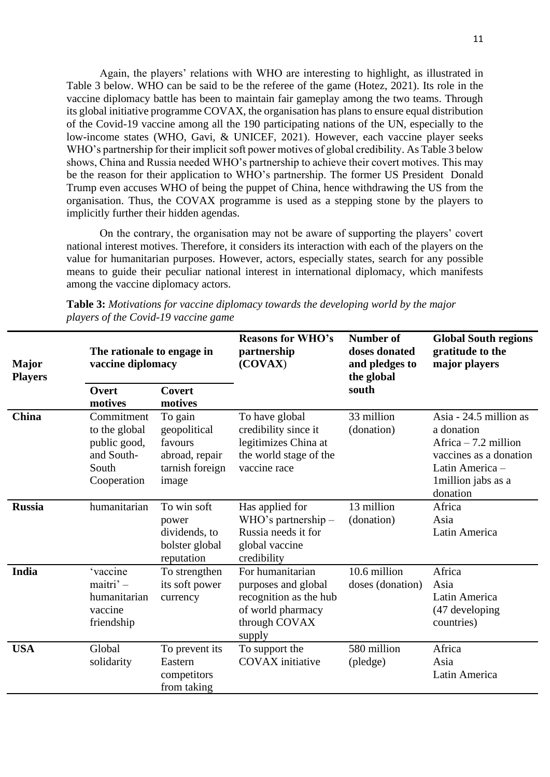Again, the players' relations with WHO are interesting to highlight, as illustrated in Table 3 below. WHO can be said to be the referee of the game (Hotez, 2021). Its role in the vaccine diplomacy battle has been to maintain fair gameplay among the two teams. Through its global initiative programme COVAX, the organisation has plans to ensure equal distribution of the Covid-19 vaccine among all the 190 participating nations of the UN, especially to the low-income states (WHO, Gavi, & UNICEF, 2021). However, each vaccine player seeks WHO's partnership for their implicit soft power motives of global credibility. As Table 3 below shows, China and Russia needed WHO's partnership to achieve their covert motives. This may be the reason for their application to WHO's partnership. The former US President Donald Trump even accuses WHO of being the puppet of China, hence withdrawing the US from the organisation. Thus, the COVAX programme is used as a stepping stone by the players to implicitly further their hidden agendas.

On the contrary, the organisation may not be aware of supporting the players' covert national interest motives. Therefore, it considers its interaction with each of the players on the value for humanitarian purposes. However, actors, especially states, search for any possible means to guide their peculiar national interest in international diplomacy, which manifests among the vaccine diplomacy actors.

| <b>Major</b><br><b>Players</b> | The rationale to engage in<br>vaccine diplomacy                                   |                                                                                  | <b>Reasons for WHO's</b><br>partnership<br>(COVAX)                                                                | <b>Number of</b><br>doses donated<br>and pledges to<br>the global | <b>Global South regions</b><br>gratitude to the<br>major players                                                                             |
|--------------------------------|-----------------------------------------------------------------------------------|----------------------------------------------------------------------------------|-------------------------------------------------------------------------------------------------------------------|-------------------------------------------------------------------|----------------------------------------------------------------------------------------------------------------------------------------------|
|                                | Overt<br>motives                                                                  | <b>Covert</b><br>motives                                                         |                                                                                                                   | south                                                             |                                                                                                                                              |
| <b>China</b>                   | Commitment<br>to the global<br>public good,<br>and South-<br>South<br>Cooperation | To gain<br>geopolitical<br>favours<br>abroad, repair<br>tarnish foreign<br>image | To have global<br>credibility since it<br>legitimizes China at<br>the world stage of the<br>vaccine race          | 33 million<br>(donation)                                          | Asia - 24.5 million as<br>a donation<br>Africa $-7.2$ million<br>vaccines as a donation<br>Latin America-<br>1 million jabs as a<br>donation |
| <b>Russia</b>                  | humanitarian                                                                      | To win soft<br>power<br>dividends, to<br>bolster global<br>reputation            | Has applied for<br>WHO's partnership $-$<br>Russia needs it for<br>global vaccine<br>credibility                  | 13 million<br>(donation)                                          | Africa<br>Asia<br>Latin America                                                                                                              |
| India                          | <i>'vaccine</i><br>maitri' -<br>humanitarian<br>vaccine<br>friendship             | To strengthen<br>its soft power<br>currency                                      | For humanitarian<br>purposes and global<br>recognition as the hub<br>of world pharmacy<br>through COVAX<br>supply | 10.6 million<br>doses (donation)                                  | Africa<br>Asia<br>Latin America<br>(47 developing)<br>countries)                                                                             |
| <b>USA</b>                     | Global<br>solidarity                                                              | To prevent its<br>Eastern<br>competitors<br>from taking                          | To support the<br><b>COVAX</b> initiative                                                                         | 580 million<br>(pledge)                                           | Africa<br>Asia<br>Latin America                                                                                                              |

**Table 3:** *Motivations for vaccine diplomacy towards the developing world by the major players of the Covid-19 vaccine game*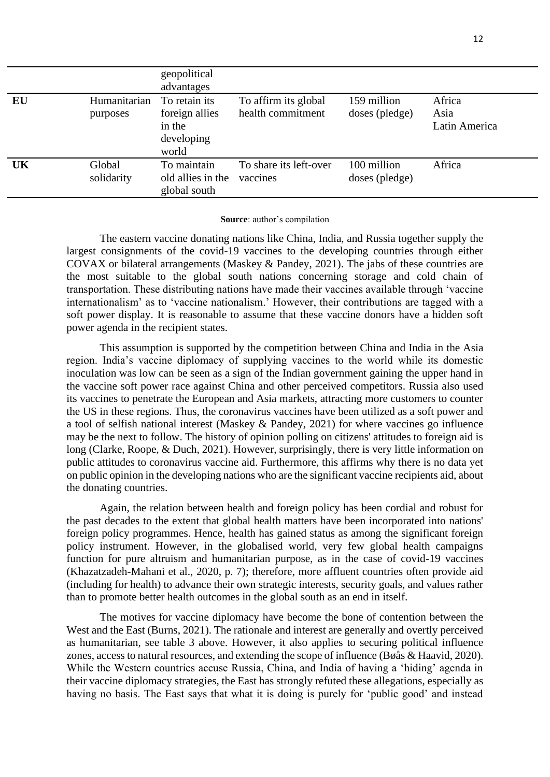|    |                          | geopolitical<br>advantages                                       |                                           |                               |                                 |
|----|--------------------------|------------------------------------------------------------------|-------------------------------------------|-------------------------------|---------------------------------|
| EU | Humanitarian<br>purposes | To retain its<br>foreign allies<br>in the<br>developing<br>world | To affirm its global<br>health commitment | 159 million<br>doses (pledge) | Africa<br>Asia<br>Latin America |
| UK | Global<br>solidarity     | To maintain<br>old allies in the<br>global south                 | To share its left-over<br>vaccines        | 100 million<br>doses (pledge) | Africa                          |

#### **Source**: author's compilation

The eastern vaccine donating nations like China, India, and Russia together supply the largest consignments of the covid-19 vaccines to the developing countries through either COVAX or bilateral arrangements (Maskey & Pandey, 2021). The jabs of these countries are the most suitable to the global south nations concerning storage and cold chain of transportation. These distributing nations have made their vaccines available through 'vaccine internationalism' as to 'vaccine nationalism.' However, their contributions are tagged with a soft power display. It is reasonable to assume that these vaccine donors have a hidden soft power agenda in the recipient states.

This assumption is supported by the competition between China and India in the Asia region. India's vaccine diplomacy of supplying vaccines to the world while its domestic inoculation was low can be seen as a sign of the Indian government gaining the upper hand in the vaccine soft power race against China and other perceived competitors. Russia also used its vaccines to penetrate the European and Asia markets, attracting more customers to counter the US in these regions. Thus, the coronavirus vaccines have been utilized as a soft power and a tool of selfish national interest (Maskey & Pandey, 2021) for where vaccines go influence may be the next to follow. The history of opinion polling on citizens' attitudes to foreign aid is long (Clarke, Roope, & Duch, 2021). However, surprisingly, there is very little information on public attitudes to coronavirus vaccine aid. Furthermore, this affirms why there is no data yet on public opinion in the developing nations who are the significant vaccine recipients aid, about the donating countries.

Again, the relation between health and foreign policy has been cordial and robust for the past decades to the extent that global health matters have been incorporated into nations' foreign policy programmes. Hence, health has gained status as among the significant foreign policy instrument. However, in the globalised world, very few global health campaigns function for pure altruism and humanitarian purpose, as in the case of covid-19 vaccines (Khazatzadeh-Mahani et al., 2020, p. 7); therefore, more affluent countries often provide aid (including for health) to advance their own strategic interests, security goals, and values rather than to promote better health outcomes in the global south as an end in itself.

The motives for vaccine diplomacy have become the bone of contention between the West and the East (Burns, 2021). The rationale and interest are generally and overtly perceived as humanitarian, see table 3 above. However, it also applies to securing political influence zones, access to natural resources, and extending the scope of influence (Bøås & Haavid, 2020). While the Western countries accuse Russia, China, and India of having a 'hiding' agenda in their vaccine diplomacy strategies, the East has strongly refuted these allegations, especially as having no basis. The East says that what it is doing is purely for 'public good' and instead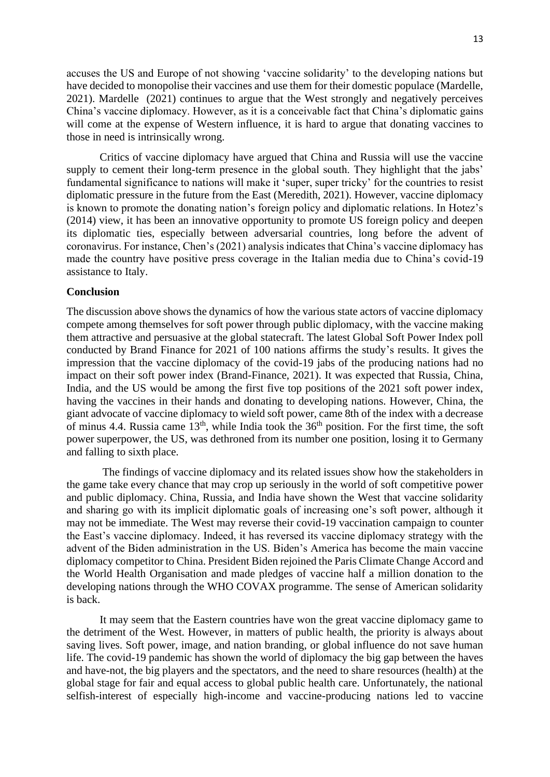accuses the US and Europe of not showing 'vaccine solidarity' to the developing nations but have decided to monopolise their vaccines and use them for their domestic populace (Mardelle, 2021). Mardelle (2021) continues to argue that the West strongly and negatively perceives China's vaccine diplomacy. However, as it is a conceivable fact that China's diplomatic gains will come at the expense of Western influence, it is hard to argue that donating vaccines to those in need is intrinsically wrong.

Critics of vaccine diplomacy have argued that China and Russia will use the vaccine supply to cement their long-term presence in the global south. They highlight that the jabs' fundamental significance to nations will make it 'super, super tricky' for the countries to resist diplomatic pressure in the future from the East (Meredith, 2021). However, vaccine diplomacy is known to promote the donating nation's foreign policy and diplomatic relations. In Hotez's (2014) view, it has been an innovative opportunity to promote US foreign policy and deepen its diplomatic ties, especially between adversarial countries, long before the advent of coronavirus. For instance, Chen's (2021) analysis indicates that China's vaccine diplomacy has made the country have positive press coverage in the Italian media due to China's covid-19 assistance to Italy.

#### **Conclusion**

The discussion above shows the dynamics of how the various state actors of vaccine diplomacy compete among themselves for soft power through public diplomacy, with the vaccine making them attractive and persuasive at the global statecraft. The latest Global Soft Power Index poll conducted by Brand Finance for 2021 of 100 nations affirms the study's results. It gives the impression that the vaccine diplomacy of the covid-19 jabs of the producing nations had no impact on their soft power index (Brand-Finance, 2021). It was expected that Russia, China, India, and the US would be among the first five top positions of the 2021 soft power index, having the vaccines in their hands and donating to developing nations. However, China, the giant advocate of vaccine diplomacy to wield soft power, came 8th of the index with a decrease of minus 4.4. Russia came  $13<sup>th</sup>$ , while India took the  $36<sup>th</sup>$  position. For the first time, the soft power superpower, the US, was dethroned from its number one position, losing it to Germany and falling to sixth place.

The findings of vaccine diplomacy and its related issues show how the stakeholders in the game take every chance that may crop up seriously in the world of soft competitive power and public diplomacy. China, Russia, and India have shown the West that vaccine solidarity and sharing go with its implicit diplomatic goals of increasing one's soft power, although it may not be immediate. The West may reverse their covid-19 vaccination campaign to counter the East's vaccine diplomacy. Indeed, it has reversed its vaccine diplomacy strategy with the advent of the Biden administration in the US. Biden's America has become the main vaccine diplomacy competitor to China. President Biden rejoined the Paris Climate Change Accord and the World Health Organisation and made pledges of vaccine half a million donation to the developing nations through the WHO COVAX programme. The sense of American solidarity is back.

It may seem that the Eastern countries have won the great vaccine diplomacy game to the detriment of the West. However, in matters of public health, the priority is always about saving lives. Soft power, image, and nation branding, or global influence do not save human life. The covid-19 pandemic has shown the world of diplomacy the big gap between the haves and have-not, the big players and the spectators, and the need to share resources (health) at the global stage for fair and equal access to global public health care. Unfortunately, the national selfish-interest of especially high-income and vaccine-producing nations led to vaccine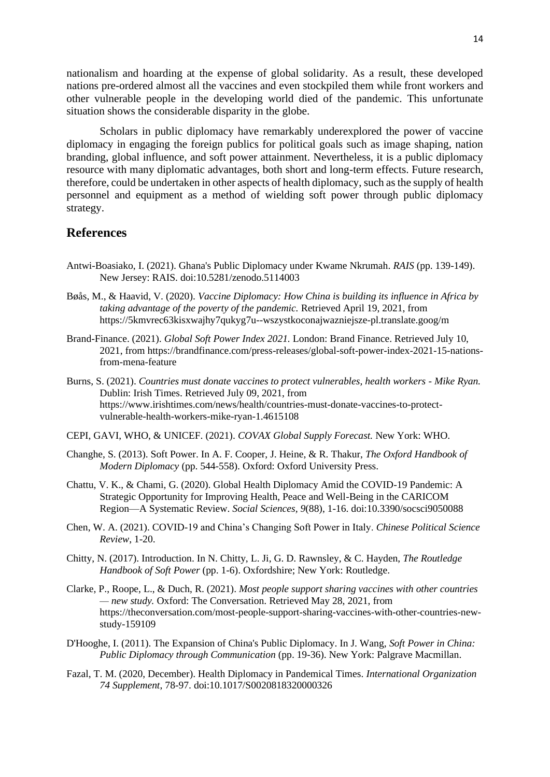nationalism and hoarding at the expense of global solidarity. As a result, these developed nations pre-ordered almost all the vaccines and even stockpiled them while front workers and other vulnerable people in the developing world died of the pandemic. This unfortunate situation shows the considerable disparity in the globe.

Scholars in public diplomacy have remarkably underexplored the power of vaccine diplomacy in engaging the foreign publics for political goals such as image shaping, nation branding, global influence, and soft power attainment. Nevertheless, it is a public diplomacy resource with many diplomatic advantages, both short and long-term effects. Future research, therefore, could be undertaken in other aspects of health diplomacy, such as the supply of health personnel and equipment as a method of wielding soft power through public diplomacy strategy.

### **References**

- Antwi-Boasiako, I. (2021). Ghana's Public Diplomacy under Kwame Nkrumah. *RAIS* (pp. 139-149). New Jersey: RAIS. doi:10.5281/zenodo.5114003
- Bøås, M., & Haavid, V. (2020). *Vaccine Diplomacy: How China is building its influence in Africa by taking advantage of the poverty of the pandemic.* Retrieved April 19, 2021, from https://5kmvrec63kisxwajhy7qukyg7u--wszystkoconajwazniejsze-pl.translate.goog/m
- Brand-Finance. (2021). *Global Soft Power Index 2021.* London: Brand Finance. Retrieved July 10, 2021, from https://brandfinance.com/press-releases/global-soft-power-index-2021-15-nationsfrom-mena-feature
- Burns, S. (2021). *Countries must donate vaccines to protect vulnerables, health workers - Mike Ryan.* Dublin: Irish Times. Retrieved July 09, 2021, from https://www.irishtimes.com/news/health/countries-must-donate-vaccines-to-protectvulnerable-health-workers-mike-ryan-1.4615108
- CEPI, GAVI, WHO, & UNICEF. (2021). *COVAX Global Supply Forecast.* New York: WHO.
- Changhe, S. (2013). Soft Power. In A. F. Cooper, J. Heine, & R. Thakur, *The Oxford Handbook of Modern Diplomacy* (pp. 544-558). Oxford: Oxford University Press.
- Chattu, V. K., & Chami, G. (2020). Global Health Diplomacy Amid the COVID-19 Pandemic: A Strategic Opportunity for Improving Health, Peace and Well-Being in the CARICOM Region—A Systematic Review. *Social Sciences, 9*(88), 1-16. doi:10.3390/socsci9050088
- Chen, W. A. (2021). COVID-19 and China's Changing Soft Power in Italy. *Chinese Political Science Review*, 1-20.
- Chitty, N. (2017). Introduction. In N. Chitty, L. Ji, G. D. Rawnsley, & C. Hayden, *The Routledge Handbook of Soft Power* (pp. 1-6). Oxfordshire; New York: Routledge.
- Clarke, P., Roope, L., & Duch, R. (2021). *Most people support sharing vaccines with other countries — new study.* Oxford: The Conversation. Retrieved May 28, 2021, from https://theconversation.com/most-people-support-sharing-vaccines-with-other-countries-newstudy-159109
- D'Hooghe, I. (2011). The Expansion of China's Public Diplomacy. In J. Wang, *Soft Power in China: Public Diplomacy through Communication* (pp. 19-36). New York: Palgrave Macmillan.
- Fazal, T. M. (2020, December). Health Diplomacy in Pandemical Times. *International Organization 74 Supplement*, 78-97. doi:10.1017/S0020818320000326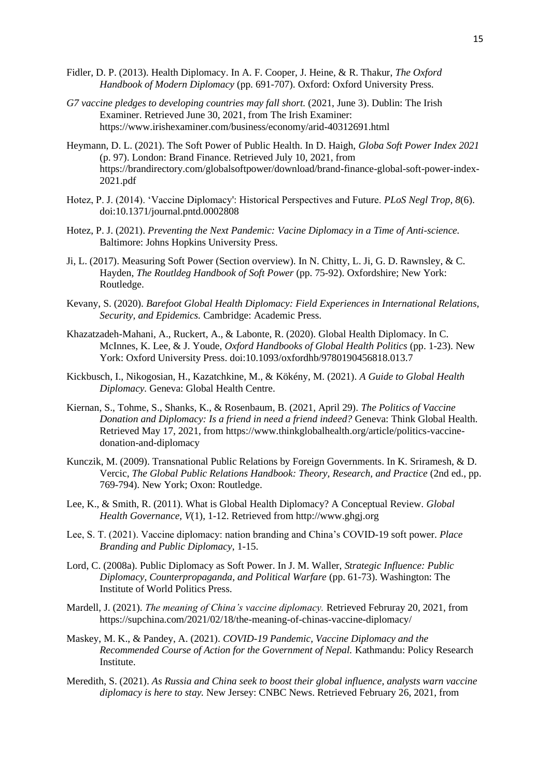- Fidler, D. P. (2013). Health Diplomacy. In A. F. Cooper, J. Heine, & R. Thakur, *The Oxford Handbook of Modern Diplomacy* (pp. 691-707). Oxford: Oxford University Press.
- *G7 vaccine pledges to developing countries may fall short.* (2021, June 3). Dublin: The Irish Examiner. Retrieved June 30, 2021, from The Irish Examiner: https://www.irishexaminer.com/business/economy/arid-40312691.html
- Heymann, D. L. (2021). The Soft Power of Public Health. In D. Haigh, *Globa Soft Power Index 2021* (p. 97). London: Brand Finance. Retrieved July 10, 2021, from https://brandirectory.com/globalsoftpower/download/brand-finance-global-soft-power-index-2021.pdf
- Hotez, P. J. (2014). 'Vaccine Diplomacy': Historical Perspectives and Future. *PLoS Negl Trop, 8*(6). doi:10.1371/journal.pntd.0002808
- Hotez, P. J. (2021). *Preventing the Next Pandemic: Vacine Diplomacy in a Time of Anti-science.* Baltimore: Johns Hopkins University Press.
- Ji, L. (2017). Measuring Soft Power (Section overview). In N. Chitty, L. Ji, G. D. Rawnsley, & C. Hayden, *The Routldeg Handbook of Soft Power* (pp. 75-92). Oxfordshire; New York: Routledge.
- Kevany, S. (2020). *Barefoot Global Health Diplomacy: Field Experiences in International Relations, Security, and Epidemics.* Cambridge: Academic Press.
- Khazatzadeh-Mahani, A., Ruckert, A., & Labonte, R. (2020). Global Health Diplomacy. In C. McInnes, K. Lee, & J. Youde, *Oxford Handbooks of Global Health Politics* (pp. 1-23). New York: Oxford University Press. doi:10.1093/oxfordhb/9780190456818.013.7
- Kickbusch, I., Nikogosian, H., Kazatchkine, M., & Kökény, M. (2021). *A Guide to Global Health Diplomacy.* Geneva: Global Health Centre.
- Kiernan, S., Tohme, S., Shanks, K., & Rosenbaum, B. (2021, April 29). *The Politics of Vaccine Donation and Diplomacy: Is a friend in need a friend indeed?* Geneva: Think Global Health. Retrieved May 17, 2021, from https://www.thinkglobalhealth.org/article/politics-vaccinedonation-and-diplomacy
- Kunczik, M. (2009). Transnational Public Relations by Foreign Governments. In K. Sriramesh, & D. Vercic, *The Global Public Relations Handbook: Theory, Research, and Practice* (2nd ed., pp. 769-794). New York; Oxon: Routledge.
- Lee, K., & Smith, R. (2011). What is Global Health Diplomacy? A Conceptual Review. *Global Health Governance, V*(1), 1-12. Retrieved from http://www.ghgj.org
- Lee, S. T. (2021). Vaccine diplomacy: nation branding and China's COVID-19 soft power. *Place Branding and Public Diplomacy*, 1-15.
- Lord, C. (2008a). Public Diplomacy as Soft Power. In J. M. Waller, *Strategic Influence: Public Diplomacy, Counterpropaganda, and Political Warfare* (pp. 61-73). Washington: The Institute of World Politics Press.
- Mardell, J. (2021). *The meaning of China's vaccine diplomacy.* Retrieved Februray 20, 2021, from https://supchina.com/2021/02/18/the-meaning-of-chinas-vaccine-diplomacy/
- Maskey, M. K., & Pandey, A. (2021). *COVID-19 Pandemic, Vaccine Diplomacy and the Recommended Course of Action for the Government of Nepal.* Kathmandu: Policy Research Institute.
- Meredith, S. (2021). *As Russia and China seek to boost their global influence, analysts warn vaccine diplomacy is here to stay.* New Jersey: CNBC News. Retrieved February 26, 2021, from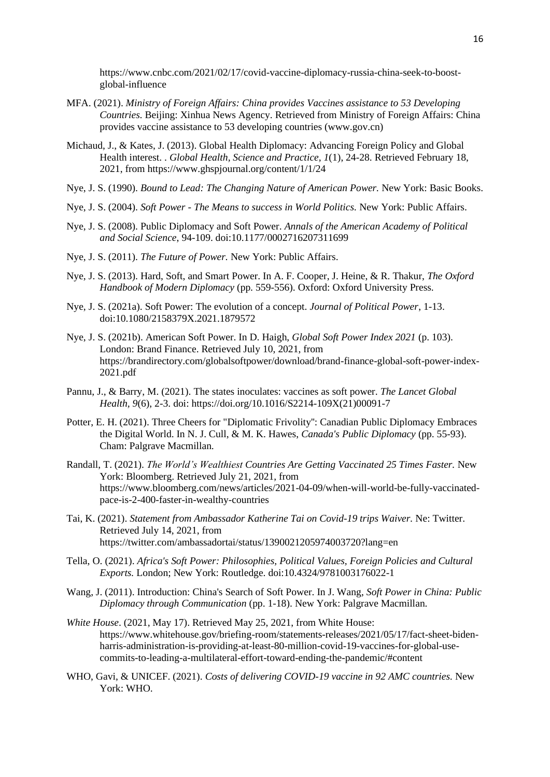https://www.cnbc.com/2021/02/17/covid-vaccine-diplomacy-russia-china-seek-to-boostglobal-influence

- MFA. (2021). *Ministry of Foreign Affairs: China provides Vaccines assistance to 53 Developing Countries.* Beijing: Xinhua News Agency. Retrieved from Ministry of Foreign Affairs: China provides vaccine assistance to 53 developing countries (www.gov.cn)
- Michaud, J., & Kates, J. (2013). Global Health Diplomacy: Advancing Foreign Policy and Global Health interest. . *Global Health, Science and Practice, 1*(1), 24-28. Retrieved February 18, 2021, from https://www.ghspjournal.org/content/1/1/24
- Nye, J. S. (1990). *Bound to Lead: The Changing Nature of American Power.* New York: Basic Books.
- Nye, J. S. (2004). *Soft Power - The Means to success in World Politics.* New York: Public Affairs.
- Nye, J. S. (2008). Public Diplomacy and Soft Power. *Annals of the American Academy of Political and Social Science*, 94-109. doi:10.1177/0002716207311699
- Nye, J. S. (2011). *The Future of Power.* New York: Public Affairs.
- Nye, J. S. (2013). Hard, Soft, and Smart Power. In A. F. Cooper, J. Heine, & R. Thakur, *The Oxford Handbook of Modern Diplomacy* (pp. 559-556). Oxford: Oxford University Press.
- Nye, J. S. (2021a). Soft Power: The evolution of a concept. *Journal of Political Power*, 1-13. doi:10.1080/2158379X.2021.1879572
- Nye, J. S. (2021b). American Soft Power. In D. Haigh, *Global Soft Power Index 2021* (p. 103). London: Brand Finance. Retrieved July 10, 2021, from https://brandirectory.com/globalsoftpower/download/brand-finance-global-soft-power-index-2021.pdf
- Pannu, J., & Barry, M. (2021). The states inoculates: vaccines as soft power. *The Lancet Global Health, 9*(6), 2-3. doi: https://doi.org/10.1016/S2214-109X(21)00091-7
- Potter, E. H. (2021). Three Cheers for "Diplomatic Frivolity'': Canadian Public Diplomacy Embraces the Digital World. In N. J. Cull, & M. K. Hawes, *Canada's Public Diplomacy* (pp. 55-93). Cham: Palgrave Macmillan.
- Randall, T. (2021). *The World's Wealthiest Countries Are Getting Vaccinated 25 Times Faster.* New York: Bloomberg. Retrieved July 21, 2021, from https://www.bloomberg.com/news/articles/2021-04-09/when-will-world-be-fully-vaccinatedpace-is-2-400-faster-in-wealthy-countries
- Tai, K. (2021). *Statement from Ambassador Katherine Tai on Covid-19 trips Waiver.* Ne: Twitter. Retrieved July 14, 2021, from https://twitter.com/ambassadortai/status/1390021205974003720?lang=en
- Tella, O. (2021). *Africa's Soft Power: Philosophies, Political Values, Foreign Policies and Cultural Exports.* London; New York: Routledge. doi:10.4324/9781003176022-1
- Wang, J. (2011). Introduction: China's Search of Soft Power. In J. Wang, *Soft Power in China: Public Diplomacy through Communication* (pp. 1-18). New York: Palgrave Macmillan.
- *White House*. (2021, May 17). Retrieved May 25, 2021, from White House: https://www.whitehouse.gov/briefing-room/statements-releases/2021/05/17/fact-sheet-bidenharris-administration-is-providing-at-least-80-million-covid-19-vaccines-for-global-usecommits-to-leading-a-multilateral-effort-toward-ending-the-pandemic/#content
- WHO, Gavi, & UNICEF. (2021). *Costs of delivering COVID-19 vaccine in 92 AMC countries.* New York: WHO.